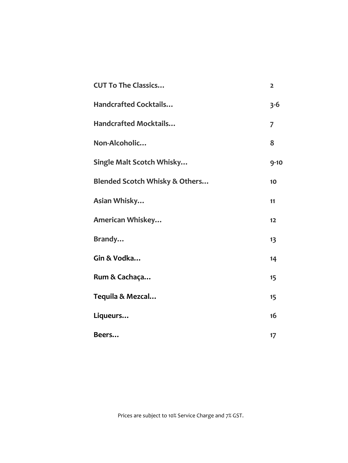| <b>CUT To The Classics</b>                | $\overline{2}$ |
|-------------------------------------------|----------------|
| <b>Handcrafted Cocktails</b>              | $3 - 6$        |
| <b>Handcrafted Mocktails</b>              | 7              |
| Non-Alcoholic                             | 8              |
| Single Malt Scotch Whisky                 | $9 - 10$       |
| <b>Blended Scotch Whisky &amp; Others</b> | 10             |
| Asian Whisky                              | 11             |
| American Whiskey                          | 12             |
| Brandy                                    | 13             |
| Gin & Vodka                               | 14             |
| Rum & Cachaça                             | 15             |
| Tequila & Mezcal                          | 15             |
| Liqueurs                                  | 16             |
| Beers                                     | 17             |

Prices are subject to 10% Service Charge and 7% GST.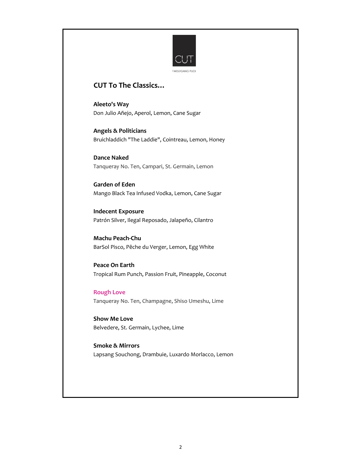

## **CUT To The Classics…**

**Aleeto's Way** Don Julio Añejo, Aperol, Lemon, Cane Sugar

**Angels & Politicians** Bruichladdich "The Laddie", Cointreau, Lemon, Honey

**Dance Naked** Tanqueray No. Ten, Campari, St. Germain, Lemon

**Garden of Eden** Mango Black Tea Infused Vodka, Lemon, Cane Sugar

**Indecent Exposure** Patrón Silver, Ilegal Reposado, Jalapeño, Cilantro

**Machu Peach-Chu** BarSol Pisco, Pêche du Verger, Lemon, Egg White

**Peace On Earth** Tropical Rum Punch, Passion Fruit, Pineapple, Coconut

**Rough Love** Tanqueray No. Ten, Champagne, Shiso Umeshu, Lime

**Show Me Love** Belvedere, St. Germain, Lychee, Lime

**Smoke & Mirrors** Lapsang Souchong, Drambuie, Luxardo Morlacco, Lemon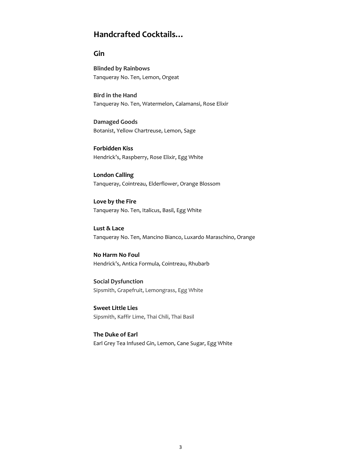# **Handcrafted Cocktails…**

### **Gin**

**Blinded by Rainbows** Tanqueray No. Ten, Lemon, Orgeat

**Bird in the Hand** Tanqueray No. Ten, Watermelon, Calamansi, Rose Elixir

**Damaged Goods** Botanist, Yellow Chartreuse, Lemon, Sage

**Forbidden Kiss** Hendrick's, Raspberry, Rose Elixir, Egg White

**London Calling** Tanqueray, Cointreau, Elderflower, Orange Blossom

**Love by the Fire** Tanqueray No. Ten, Italicus, Basil, Egg White

**Lust & Lace** Tanqueray No. Ten, Mancino Bianco, Luxardo Maraschino, Orange

**No Harm No Foul** Hendrick's, Antica Formula, Cointreau, Rhubarb

**Social Dysfunction** Sipsmith, Grapefruit, Lemongrass, Egg White

**Sweet Little Lies** Sipsmith, Kaffir Lime, Thai Chili, Thai Basil

**The Duke of Earl** Earl Grey Tea Infused Gin, Lemon, Cane Sugar, Egg White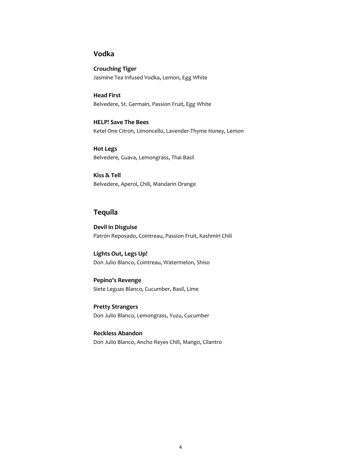### **Vodka**

**Crouching Tiger** Jasmine Tea Infused Vodka, Lemon, Egg White

**Head First** Belvedere, St. Germain, Passion Fruit, Egg White

**HELP! Save The Bees** Ketel One Citron, Limoncello, Lavender-Thyme Honey, Lemon

**Hot Legs** Belvedere, Guava, Lemongrass, Thai Basil

**Kiss & Tell** Belvedere, Aperol, Chili, Mandarin Orange

### **Tequila**

**Devil in Disguise** Patrón Reposado, Cointreau, Passion Fruit, Kashmiri Chili

**Lights Out, Legs Up!** Don Julio Blanco, Cointreau, Watermelon, Shiso

**Pepino's Revenge** Siete Leguas Blanco, Cucumber, Basil, Lime

**Pretty Strangers** Don Julio Blanco, Lemongrass, Yuzu, Cucumber

**Reckless Abandon** Don Julio Blanco, Ancho Reyes Chili, Mango, Cilantro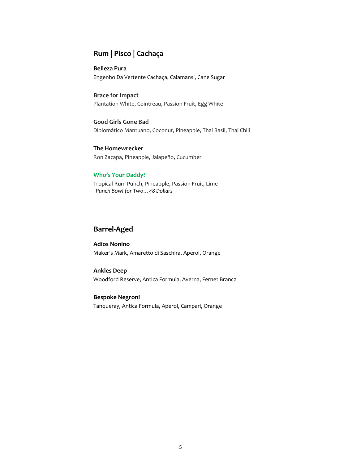# **Rum | Pisco | Cachaça**

**Belleza Pura** Engenho Da Vertente Cachaça, Calamansi, Cane Sugar

**Brace for Impact** Plantation White, Cointreau, Passion Fruit, Egg White

**Good Girls Gone Bad** Diplomático Mantuano, Coconut, Pineapple, Thai Basil, Thai Chili

**The Homewrecker** Ron Zacapa, Pineapple, Jalapeño, Cucumber

#### **Who's Your Daddy?**

Tropical Rum Punch, Pineapple, Passion Fruit, Lime  *Punch Bowl for Two…48 Dollars*

### **Barrel-Aged**

**Adios Nonino** Maker's Mark, Amaretto di Saschira, Aperol, Orange

#### **Ankles Deep**

Woodford Reserve, Antica Formula, Averna, Fernet Branca

**Bespoke Negroni** Tanqueray, Antica Formula, Aperol, Campari, Orange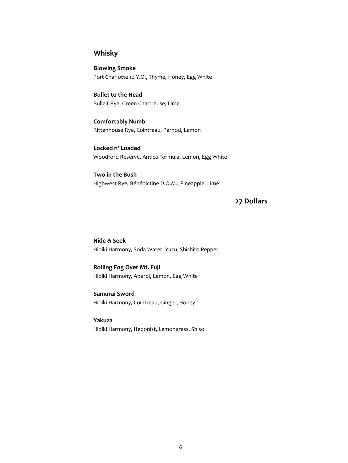# **Whisky**

**Blowing Smoke** Port Charlotte 10 Y.O., Thyme, Honey, Egg White

**Bullet to the Head** Bulleit Rye, Green Chartreuse, Lime

**Comfortably Numb** Rittenhouse Rye, Cointreau, Pernod, Lemon

**Locked n' Loaded** Woodford Reserve, Antica Formula, Lemon, Egg White

**Two in the Bush** Highwest Rye, Bénédictine D.O.M., Pineapple, Lime

# **27 Dollars**

**Hide & Seek** Hibiki Harmony, Soda Water, Yuzu, Shishito Pepper

**Rolling Fog Over Mt. Fuji** Hibiki Harmony, Aperol, Lemon, Egg White

**Samurai Sword** Hibiki Harmony, Cointreau, Ginger, Honey

**Yakuza** Hibiki Harmony, Hedonist, Lemongrass, Shiso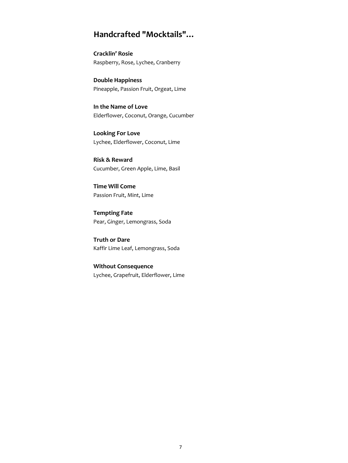# **Handcrafted "Mocktails"…**

**Cracklin' Rosie** Raspberry, Rose, Lychee, Cranberry

**Double Happiness** Pineapple, Passion Fruit, Orgeat, Lime

**In the Name of Love** Elderflower, Coconut, Orange, Cucumber

**Looking For Love** Lychee, Elderflower, Coconut, Lime

**Risk & Reward** Cucumber, Green Apple, Lime, Basil

**Time Will Come** Passion Fruit, Mint, Lime

**Tempting Fate** Pear, Ginger, Lemongrass, Soda

**Truth or Dare** Kaffir Lime Leaf, Lemongrass, Soda

**Without Consequence** Lychee, Grapefruit, Elderflower, Lime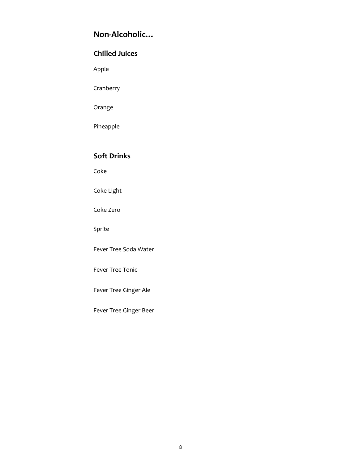# **Non-Alcoholic…**

# **Chilled Juices**

Apple

Cranberry

Orange

Pineapple

## **Soft Drinks**

Coke

Coke Light

Coke Zero

Sprite

Fever Tree Soda Water

Fever Tree Tonic

Fever Tree Ginger Ale

Fever Tree Ginger Beer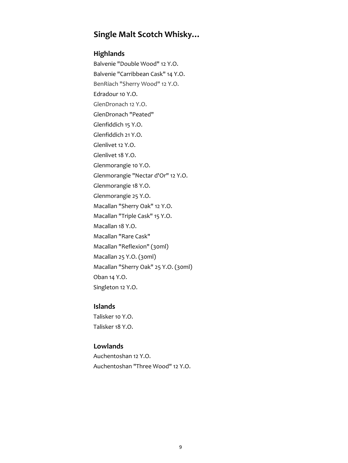# **Single Malt Scotch Whisky…**

### **Highlands**

Balvenie "Double Wood" 12 Y.O. Balvenie "Carribbean Cask" 14 Y.O. BenRiach "Sherry Wood" 12 Y.O. Edradour 10 Y.O. GlenDronach 12 Y.O. GlenDronach "Peated" Glenfiddich 15 Y.O. Glenfiddich 21 Y.O. Glenlivet 12 Y.O. Glenlivet 18 Y.O. Glenmorangie 10 Y.O. Glenmorangie "Nectar d'Or" 12 Y.O. Glenmorangie 18 Y.O. Glenmorangie 25 Y.O. Macallan "Sherry Oak" 12 Y.O. Macallan "Triple Cask" 15 Y.O. Macallan 18 Y.O. Macallan "Rare Cask" Macallan "Reflexion" (30ml) Macallan 25 Y.O. (30ml) Macallan "Sherry Oak" 25 Y.O. (30ml) Oban 14 Y.O. Singleton 12 Y.O.

### **Islands**

Talisker 10 Y.O. Talisker 18 Y.O.

### **Lowlands**

Auchentoshan 12 Y.O. Auchentoshan "Three Wood" 12 Y.O.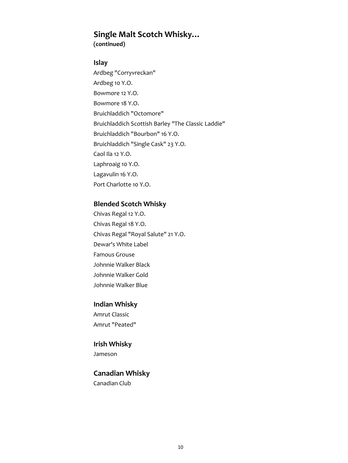# **Single Malt Scotch Whisky…**

**(continued)**

### **Islay**

Ardbeg "Corryvreckan" Ardbeg 10 Y.O. Bowmore 12 Y.O. Bowmore 18 Y.O. Bruichladdich "Octomore" Bruichladdich Scottish Barley "The Classic Laddie" Bruichladdich "Bourbon" 16 Y.O. Bruichladdich "Single Cask" 23 Y.O. Caol Ila 12 Y.O. Laphroaig 10 Y.O. Lagavulin 16 Y.O. Port Charlotte 10 Y.O.

### **Blended Scotch Whisky**

Chivas Regal 12 Y.O. Chivas Regal 18 Y.O. Chivas Regal "Royal Salute" 21 Y.O. Dewar's White Label Famous Grouse Johnnie Walker Black Johnnie Walker Gold Johnnie Walker Blue

### **Indian Whisky**

Amrut Classic Amrut "Peated"

### **Irish Whisky**

Jameson

## **Canadian Whisky**

Canadian Club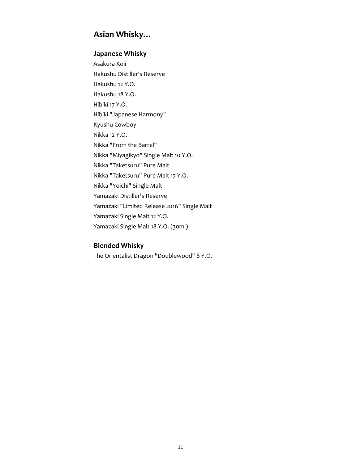# **Asian Whisky…**

# **Japanese Whisky**

Asakura Koji Hakushu Distiller's Reserve Hakushu 12 Y.O. Hakushu 18 Y.O. Hibiki 17 Y.O. Hibiki "Japanese Harmony" Kyushu Cowboy Nikka 12 Y.O. Nikka "From the Barrel" Nikka "Miyagikyo" Single Malt 10 Y.O. Nikka "Taketsuru" Pure Malt Nikka "Taketsuru" Pure Malt 17 Y.O. Nikka "Yoichi" Single Malt Yamazaki Distiller's Reserve Yamazaki "Limited Release 2016" Single Malt Yamazaki Single Malt 12 Y.O. Yamazaki Single Malt 18 Y.O. (30ml)

### **Blended Whisky**

The Orientalist Dragon "Doublewood" 8 Y.O.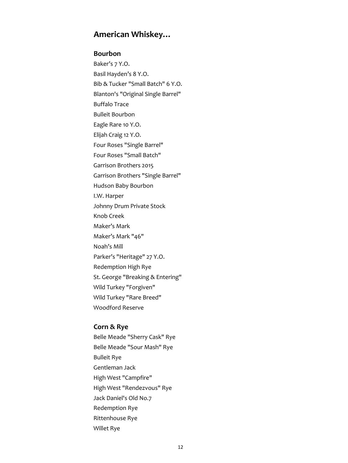# **American Whiskey…**

#### **Bourbon**

Baker's 7 Y.O. Basil Hayden's 8 Y.O. Bib & Tucker "Small Batch" 6 Y.O. Blanton's "Original Single Barrel" Buffalo Trace Bulleit Bourbon Eagle Rare 10 Y.O. Elijah Craig 12 Y.O. Four Roses "Single Barrel" Four Roses "Small Batch" Garrison Brothers 2015 Garrison Brothers "Single Barrel" Hudson Baby Bourbon I.W. Harper Johnny Drum Private Stock Knob Creek Maker's Mark Maker's Mark "46" Noah's Mill Parker's "Heritage" 27 Y.O. Redemption High Rye St. George "Breaking & Entering" Wild Turkey "Forgiven" Wild Turkey "Rare Breed" Woodford Reserve

### **Corn & Rye**

Belle Meade "Sherry Cask" Rye Belle Meade "Sour Mash" Rye Bulleit Rye Gentleman Jack High West "Campfire" High West "Rendezvous" Rye Jack Daniel's Old No.7 Redemption Rye Rittenhouse Rye Willet Rye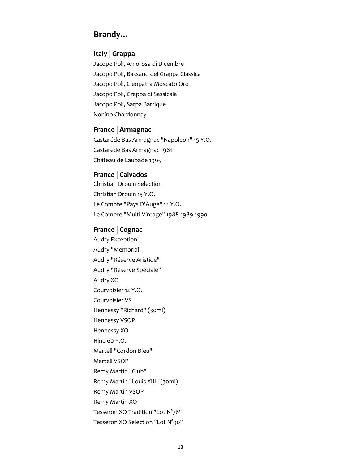# **Brandy…**

### **Italy | Grappa**

Jacopo Poli, Amorosa di Dicembre Jacopo Poli, Bassano del Grappa Classica Jacopo Poli, Cleopatra Moscato Oro Jacopo Poli, Grappa di Sassicaia Jacopo Poli, Sarpa Barrique Nonino Chardonnay

### **France | Armagnac**

Castaréde Bas Armagnac "Napoleon" 15 Y.O. Castaréde Bas Armagnac 1981 Château de Laubade 1995

#### **France | Calvados**

Christian Drouin Selection Christian Drouin 15 Y.O. Le Compte "Pays D'Auge" 12 Y.O. Le Compte "Multi-Vintage" 1988-1989-1990

## **France | Cognac**

Audry Exception Audry "Memorial" Audry "Réserve Aristide" Audry "Réserve Spéciale" Audry XO Courvoisier 12 Y.O. Courvoisier VS Hennessy "Richard" (30ml) Hennessy VSOP Hennessy XO Hine 60 Y.O. Martell "Cordon Bleu" Martell VSOP Remy Martin "Club" Remy Martin "Louis XIII" (30ml) Remy Martin VSOP Remy Martin XO Tesseron XO Tradition "Lot N°76" Tesseron XO Selection "Lot N°90"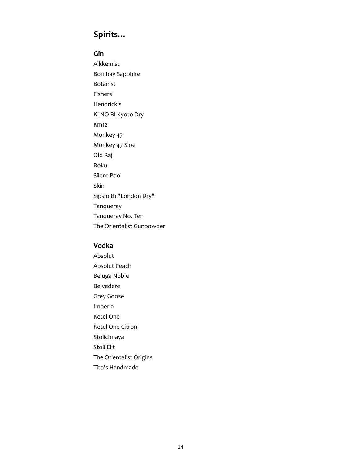# **Spirits…**

#### **Gin**

Alkkemist Bombay Sapphire Botanist Fishers Hendrick's KI NO BI Kyoto Dry Km12 Monkey 47 Monkey 47 Sloe Old Raj Roku Silent Pool Skin Sipsmith "London Dry" Tanqueray Tanqueray No. Ten The Orientalist Gunpowder

### **Vodka**

Absolut Absolut Peach Beluga Noble Belvedere Grey Goose Imperia Ketel One Ketel One Citron Stolichnaya Stoli Elit The Orientalist Origins Tito's Handmade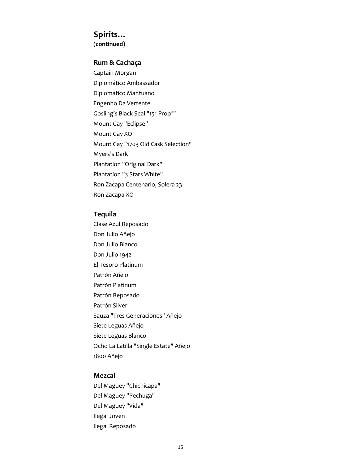# **Spirits…**

**(continued)**

### **Rum & Cachaça**

Captain Morgan Diplomático Ambassador Diplomático Mantuano Engenho Da Vertente Gosling's Black Seal "151 Proof" Mount Gay "Eclipse" Mount Gay XO Mount Gay "1703 Old Cask Selection" Myers's Dark Plantation "Original Dark" Plantation "3 Stars White" Ron Zacapa Centenario, Solera 23 Ron Zacapa XO

#### **Tequila**

Clase Azul Reposado Don Julio Añejo Don Julio Blanco Don Julio 1942 El Tesoro Platinum Patrón Añejo Patrón Platinum Patrón Reposado Patrón Silver Sauza "Tres Generaciones" Añejo Siete Leguas Añejo Siete Leguas Blanco Ocho La Latilla "Single Estate" Añejo 1800 Añejo

### **Mezcal**

Del Maguey "Chichicapa" Del Maguey "Pechuga" Del Maguey "Vida" Ilegal Joven Ilegal Reposado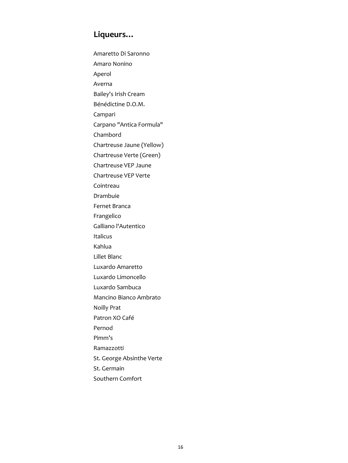# **Liqueurs…**

Amaretto Di Saronno Amaro Nonino Aperol Averna Bailey's Irish Cream Bénédictine D.O.M. Campari Carpano "Antica Formula" Chambord Chartreuse Jaune (Yellow) Chartreuse Verte (Green) Chartreuse VEP Jaune Chartreuse VEP Verte Cointreau Drambuie Fernet Branca Frangelico Galliano l'Autentico Italicus Kahlua Lillet Blanc Luxardo Amaretto Luxardo Limoncello Luxardo Sambuca Mancino Bianco Ambrato Noilly Prat Patron XO Café Pernod Pimm's Ramazzotti St. George Absinthe Verte St. Germain Southern Comfort